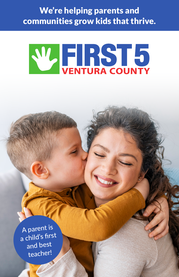We're helping parents and communities grow kids that thrive.

# W. FIRST5

A parent is a child's first and best teacher!